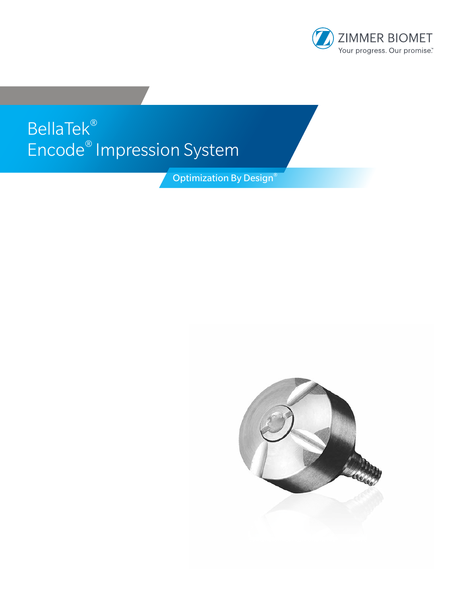

# BellaTek® Encode® Impression System

**Optimization By Design®** 

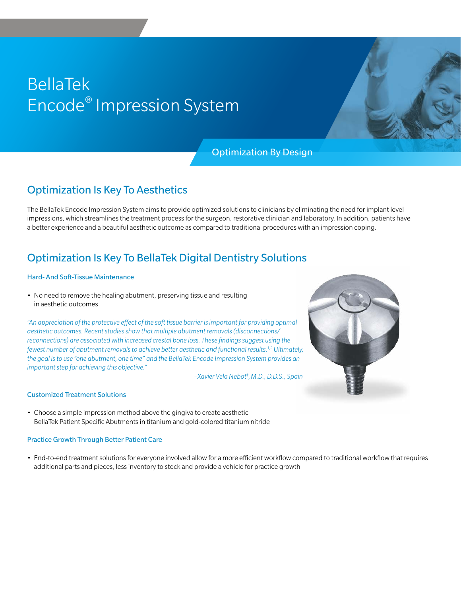## BellaTek Encode® Impression System

## Optimization By Design

## Optimization Is Key To Aesthetics

The BellaTek Encode Impression System aims to provide optimized solutions to clinicians by eliminating the need for implant level impressions, which streamlines the treatment process for the surgeon, restorative clinician and laboratory. In addition, patients have a better experience and a beautiful aesthetic outcome as compared to traditional procedures with an impression coping.

## Optimization Is Key To BellaTek Digital Dentistry Solutions

#### Hard- And Soft-Tissue Maintenance

• No need to remove the healing abutment, preserving tissue and resulting in aesthetic outcomes

*"An appreciation of the protective effect of the soft tissue barrier is important for providing optimal aesthetic outcomes. Recent studies show that multiple abutment removals (disconnections/ reconnections) are associated with increased crestal bone loss. These findings suggest using the fewest number of abutment removals to achieve better aesthetic and functional results.1,2 Ultimately, the goal is to use "one abutment, one time" and the BellaTek Encode Impression System provides an important step for achieving this objective."*

*–Xavier Vela Nebot† ,M.D., D.D.S., Spain*



### Customized Treatment Solutions

• Choose a simple impression method above the gingiva to create aesthetic BellaTek Patient Specific Abutments in titanium and gold-colored titanium nitride

### Practice Growth Through Better Patient Care

• End-to-end treatment solutions for everyone involved allow for a more efficient workflow compared to traditional workflow that requires additional parts and pieces, less inventory to stock and provide a vehicle for practice growth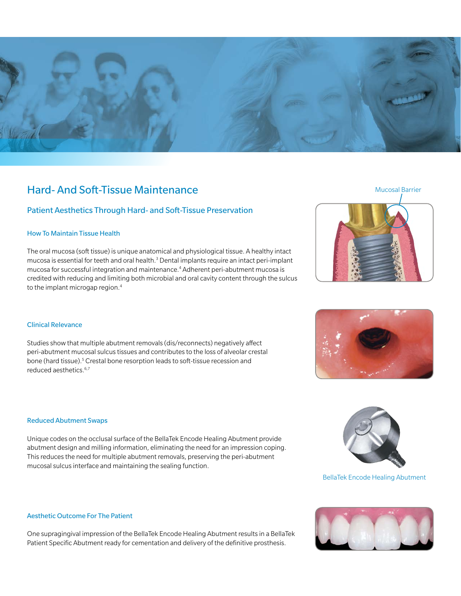

## Hard- And Soft-Tissue Maintenance

## Patient Aesthetics Through Hard- and Soft-Tissue Preservation

#### How To Maintain Tissue Health

The oral mucosa (soft tissue) is unique anatomical and physiological tissue. A healthy intact mucosa is essential for teeth and oral health.<sup>3</sup> Dental implants require an intact peri-implant mucosa for successful integration and maintenance.4 Adherent peri-abutment mucosa is credited with reducing and limiting both microbial and oral cavity content through the sulcus to the implant microgap region.<sup>4</sup>

## Mucosal Barrier





### Clinical Relevance

Studies show that multiple abutment removals (dis/reconnects) negatively affect peri-abutment mucosal sulcus tissues and contributes to the loss of alveolar crestal bone (hard tissue).<sup>5</sup> Crestal bone resorption leads to soft-tissue recession and reduced aesthetics.6,7

### Reduced Abutment Swaps

Unique codes on the occlusal surface of the BellaTek Encode Healing Abutment provide abutment design and milling information, eliminating the need for an impression coping. This reduces the need for multiple abutment removals, preserving the peri-abutment mucosal sulcus interface and maintaining the sealing function.



#### BellaTek Encode Healing Abutment

#### Aesthetic Outcome For The Patient

One supragingival impression of the BellaTek Encode Healing Abutment results in a BellaTek Patient Specific Abutment ready for cementation and delivery of the definitive prosthesis.

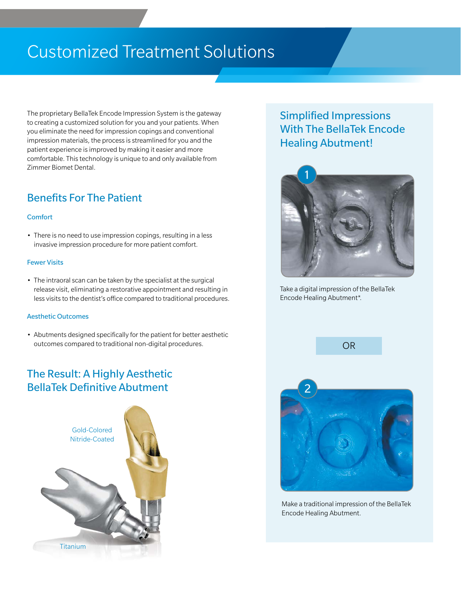## Customized Treatment Solutions

The proprietary BellaTek Encode Impression System is the gateway to creating a customized solution for you and your patients. When you eliminate the need for impression copings and conventional impression materials, the process is streamlined for you and the patient experience is improved by making it easier and more comfortable. This technology is unique to and only available from Zimmer Biomet Dental.

## Benefits For The Patient

#### Comfort

• There is no need to use impression copings, resulting in a less invasive impression procedure for more patient comfort.

#### Fewer Visits

• The intraoral scan can be taken by the specialist at the surgical release visit, eliminating a restorative appointment and resulting in less visits to the dentist's office compared to traditional procedures.

#### Aesthetic Outcomes

• Abutments designed specifically for the patient for better aesthetic outcomes compared to traditional non-digital procedures.

## The Result: A Highly Aesthetic BellaTek Definitive Abutment



## Simplified Impressions With The BellaTek Encode Healing Abutment!



Take a digital impression of the BellaTek Encode Healing Abutment\*.



Make a traditional impression of the BellaTek Encode Healing Abutment.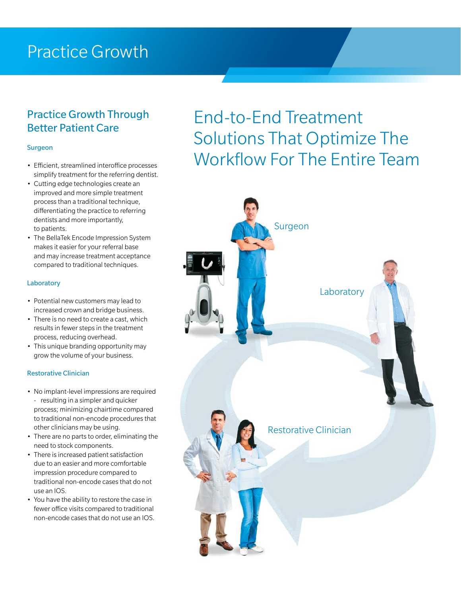## Practice Growth

## Practice Growth Through Better Patient Care

### Surgeon

- Efficient, streamlined interoffice processes simplify treatment for the referring dentist.
- Cutting edge technologies create an improved and more simple treatment process than a traditional technique, differentiating the practice to referring dentists and more importantly, to patients.
- The BellaTek Encode Impression System makes it easier for your referral base and may increase treatment acceptance compared to traditional techniques.

#### **Laboratory**

- Potential new customers may lead to increased crown and bridge business.
- There is no need to create a cast, which results in fewer steps in the treatment process, reducing overhead.
- This unique branding opportunity may grow the volume of your business.

#### Restorative Clinician

- No implant-level impressions are required - resulting in a simpler and quicker process; minimizing chairtime compared to traditional non-encode procedures that other clinicians may be using.
- There are no parts to order, eliminating the need to stock components.
- There is increased patient satisfaction due to an easier and more comfortable impression procedure compared to traditional non-encode cases that do not use an IOS.
- You have the ability to restore the case in fewer office visits compared to traditional non-encode cases that do not use an IOS.

## End-to-End Treatment Solutions That Optimize The Workflow For The Entire Team

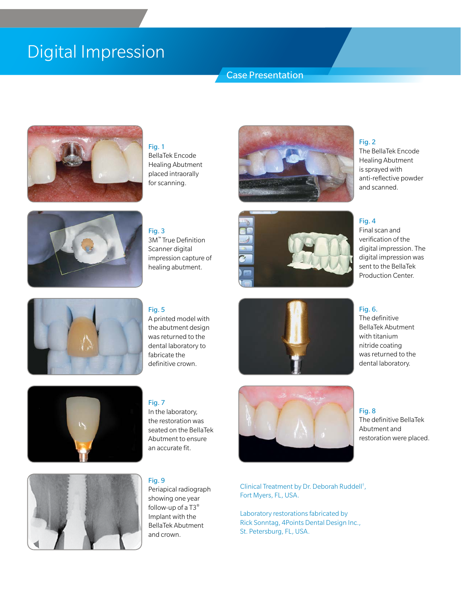## Digital Impression

## Case Presentation



## Fig. 1

Fig. 3

BellaTek Encode Healing Abutment placed intraorally for scanning.







## dental laboratory to fabricate the definitive crown.

Fig. 7

In the laboratory, the restoration was seated on the BellaTek Abutment to ensure an accurate fit.

### Fig. 9

Periapical radiograph showing one year follow-up of a T3® Implant with the BellaTek Abutment and crown.







Clinical Treatment by Dr. Deborah Ruddell† , Fort Myers, FL, USA.

Laboratory restorations fabricated by Rick Sonntag, 4Points Dental Design Inc., St. Petersburg, FL, USA.

### Fig. 2

The BellaTek Encode Healing Abutment is sprayed with anti-reflective powder and scanned.

### Fig. 4

Final scan and verification of the digital impression. The digital impression was sent to the BellaTek Production Center.

### Fig. 6.

The definitive BellaTek Abutment with titanium nitride coating was returned to the dental laboratory.

Fig. 8 The definitive BellaTek Abutment and restoration were placed.





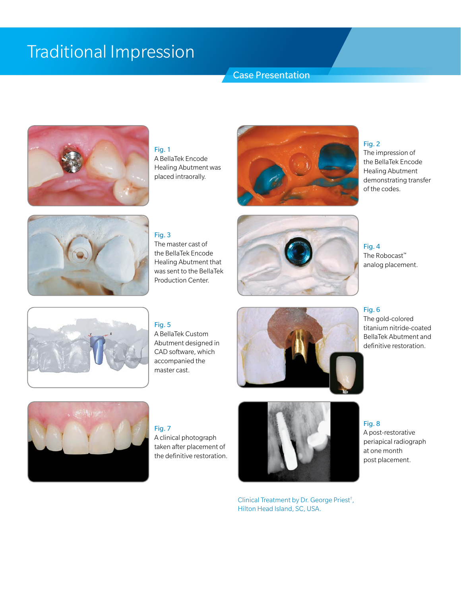## Traditional Impression

## Case Presentation



Fig. 1 A BellaTek Encode Healing Abutment was placed intraorally.



### Fig. 2

The impression of the BellaTek Encode Healing Abutment demonstrating transfer of the codes.



Fig. 3 The master cast of the BellaTek Encode Healing Abutment that was sent to the BellaTek Production Center.



Fig. 4 The Robocast™ analog placement.



## Fig. 5

A BellaTek Custom Abutment designed in CAD software, which accompanied the master cast.





The gold-colored titanium nitride-coated BellaTek Abutment and definitive restoration.



## Fig. 7

A clinical photograph taken after placement of the definitive restoration.



Clinical Treatment by Dr. George Priest† , Hilton Head Island, SC, USA.

Fig. 8 A post-restorative periapical radiograph at one month post placement.